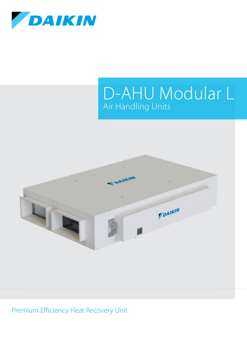

# D-AHU Modular L Air Handling Units



Premium Efficiency Heat Recovery Unit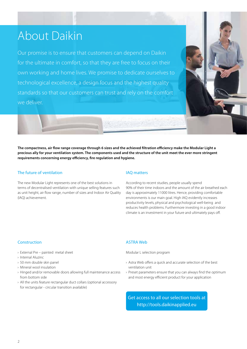# About Daikin

Our promise is to ensure that customers can depend on Daikin for the ultimate in comfort, so that they are free to focus on their own working and home lives. We promise to dedicate ourselves to technological excellence, a design focus and the highest quality standards so that our customers can trust and rely on the comfort we deliver.



**The compactness, air flow range coverage through 6 sizes and the achieved filtration efficiency make the Modular Light a precious ally for your ventilation system. The components used and the structure of the unit meet the ever more stringent requirements concerning energy efficiency, fire regulation and hygiene.** 

### The future of ventilation

The new Modular Light represents one of the best solutions in terms of decentralised ventilation with unique selling features such as unit height, air flow range, number of sizes and Indoor Air Quality (IAQ) achievement.

### IAQ matters

According to recent studies, people usually spend 90% of their time indoors and the amount of the air breathed each day is approximately 11000 litres. Hence, providing comfortable environments is our main goal. High IAQ evidently increases productivity levels, physical and psychological well-being and reduces health problems. Furthermore investing in a good indoor climate is an investment in your future and ultimately pays off.

### Construction

- › External Pre painted metal sheet
- › Internal Aluzinc
- › 50 mm double skin panel
- › Mineral wool insulation
- › Hinged and/or removable doors allowing full maintenance access from bottom side
- › All the units feature rectangular duct collars (optional accessory for rectangular - circular transition available)

### ASTRA Web

Modular L selection program

- › Astra Web offers a quick and accurate selection of the best ventilation unit
- › Preset parameters ensure that you can always find the optimum and most energy efficient product for your application

Get access to all our selection tools at http://tools.daikinapplied.eu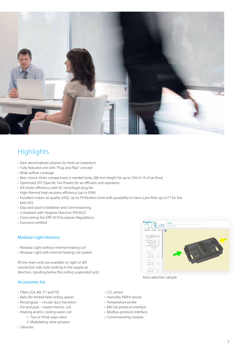

# **Highlights**

- › New decentralised solution for fresh air treatment
- › Fully featured unit with "Plug and Play" concept
- › Wide airflow coverage
- › Best choice when compactness is needed (only 280 mm height for up to 550 m3 /h of air flow)
- › Optimized SFP (Specific Fan Power) for an efficient unit operation
- › IE4 motor efficiency with EC centrifugal plug fan
- › High thermal heat recovery efficiency (up to 93%)
- › Excellent indoor air quality (IAQ). Up to F9 filtration level with possibility to have a pre-filter up to F7 for the best IAQ
- › Easy and quick installation and commissioning
- › Compliant with Hygiene Directive VDI 6022
- › Overcoming the ERP 2018 European Regulations
- › Eurovent certified

### Modular Light Versions

- › Modular Light without internal heating coil
- › Modular Light with internal heating coil (water)

All the main units are available on right or left connection side (rule: looking in the supply air direction, standing below the ceiling suspended unit)

### Accessories list

- › Filters (G4, M5, F7 and F9)
- › Rails (for limited false ceiling space)
- › Rectangular circular duct transition
- › Pre and post heater electric coil
- › Heating and/or cooling water coil
	- 1. Two or three ways valve
		- 2. Modulating valve actuator
- › Silencers
- > CO<sub>2</sub> sensor
- › Humidity (%RH) sensor
- › Temperature probe
- › BACnet protocol interface
- › Modbus protocol interface
- › Commissioning module

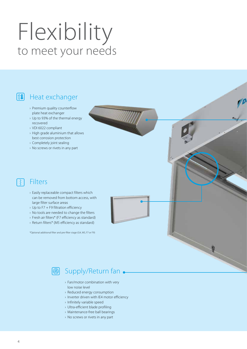# Flexibility to meet your needs

# **11** Heat exchanger

- › Premium quality counterflow plate heat exchanger
- › Up to 93% of the thermal energy recovered
- › VDI 6022 compliant
- › High grade aluminium that allows best corrosion protection
- › Completely joint sealing
- › No screws or rivets in any part

### Filters ्रे

- › Easily replaceable compact filters which can be removed from bottom access, with large filter surface areas
- › Up to F7 + F9 filtration efficiency
- › No tools are needed to change the filters
- › Fresh air filters\* (F7 efficiency as standard)
- › Return filters\* (M5 efficiency as standard)

\*Optional additional filter and pre-filter stage (G4, M5, F7 or F9)

# **图 Supply/Return fan**

- › Fan/motor combination with very low noise level
- › Reduced energy consumption
- › Inverter driven with IE4 motor efficiency
- › Infinitely variable speed
- › Ultra-efficient blade profiling
- › Maintenance-free ball bearings
- › No screws or rivets in any part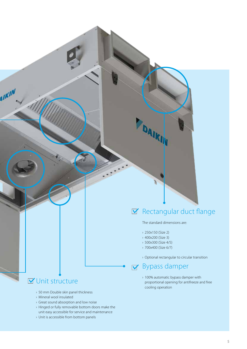# $\boxtimes$  Rectangular duct flange

The standard dimensions are:

› 250x150 (Size 2)

DAIRIN

- › 400x200 (Size 3)
- › 500x300 (Size 4/5)
- › 700x400 (Size 6/7)

› Optional rectangular to circular transition

# Bypass damper

› 100% automatic bypass damper with proportional opening for antifreeze and free cooling operation

# **V** Unit structure

**AIKIN** 

- › 50 mm Double skin panel thickness
- › Mineral wool insulated
- › Great sound absorption and low noise
- › Hinged or fully removable bottom doors make the unit easy accessible for service and maintenance
- › Unit is accessible from bottom panels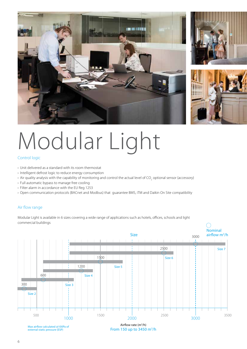

# Modular Light

## Control logic

- › Unit delivered as a standard with its room thermostat
- › Intelligent defrost logic to reduce energy consumption
- $\triangleright$  Air quality analysis with the capability of monitoring and control the actual level of CO<sub>2</sub> optional sensor (accessory)
- › Full automatic bypass to manage free cooling
- › Filter alarm in accordance with the EU Reg 1253
- › Open communication protocols (BACnet and Modbus) that guarantee BMS, iTM and Daikin On Site compatibility

### Air flow range

Modular Light is available in 6 sizes covering a wide range of applications such as hotels, offices, schools and light commercial buildings

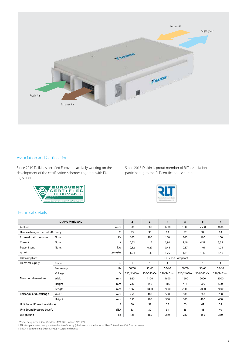

## Association and Certification

Since 2010 Daikin is certified Eurovent, actively working on the development of the certification schemes together with EU legislation.

Since 2015 Daikin is proud member of RLT association , participating to the RLT certification scheme.





# Technical details

|                                                          | <b>D-AHU Modular L</b> |            | $\overline{2}$     | $\overline{\mathbf{3}}$ | 4           | 5            | 6           | $\overline{7}$ |
|----------------------------------------------------------|------------------------|------------|--------------------|-------------------------|-------------|--------------|-------------|----------------|
| Airflow                                                  |                        | $m^3/h$    | 300                | 600                     | 1200        | 1500         | 2500        | 3000           |
| Heat exchanger thermal efficiency <sup>1</sup> .<br>$\%$ |                        | 93         | 93                 | 93                      | 92          | 94           | 93          |                |
| External static pressure                                 | Nom.                   | Pa         | 100                | 100                     | 100         | 100          | 100         | 100            |
| Current                                                  | Nom.                   | A          | 0,52               | 1,17                    | 1,91        | 2,48         | 4,39        | 5,39           |
| Power input                                              | Nom.                   | kW         | 0,12               | 0,27                    | 0,44        | 0,57         | 1,01        | 1,24           |
| $SFPv2$ .                                                |                        | $kW/m^3/s$ | 1,24               | 1,49                    | 1,25        | 1,31         | 1,42        | 1,46           |
| ERP compliant                                            |                        |            | ErP 2018 Compliant |                         |             |              |             |                |
| <b>Electrical supply</b>                                 | Phase                  | ph         | $\mathbf{1}$       | $\mathbf{1}$            |             | $\mathbf{1}$ | 1           | $\mathbf{1}$   |
|                                                          | Frequency              | Hz         | 50/60              | 50/60                   | 50/60       | 50/60        | 50/60       | 50/60          |
|                                                          | Voltage                | V          | 220/240 Vac        | 220/240 Vac             | 220/240 Vac | 220/240 Vac  | 220/240 Vac | 220/240 Vac    |
| Main unit dimensions                                     | Width                  | mm         | 920                | 1100                    | 1600        | 1600         | 2000        | 2000           |
|                                                          | Height                 | mm         | 280                | 350                     | 415         | 415          | 500         | 500            |
|                                                          | Length                 | mm         | 1660               | 1800                    | 2000        | 2000         | 2000        | 2000           |
| Rectangular duct flange                                  | Width                  | mm         | 250                | 400                     | 500         | 500          | 700         | 700            |
|                                                          | Height                 | mm         | 150                | 200                     | 300         | 300          | 400         | 400            |
| Unit Sound Power Level (Lwa)<br>dB                       |                        | 50         | 57                 | 57                      | 53          | 61           | 58          |                |
| Unit Sound Pressure Level <sup>3</sup> .<br>dBA          |                        | 33         | 39                 | 39                      | 35          | 43           | 40          |                |
| Weight unit                                              |                        | kg         | 125                | 180                     | 270         | 280          | 355         | 360            |

1. Winter design condition: Outdoor: -10°C,90% Indoor: 22°C,50%

2. SFPv is a parameter that quantifies the fan efficiency (the lower it is the better will be). This reduces if airflow decreases.

3. EN 3744. Surrounding, Directivity (Q) = 2, @1,5m distance